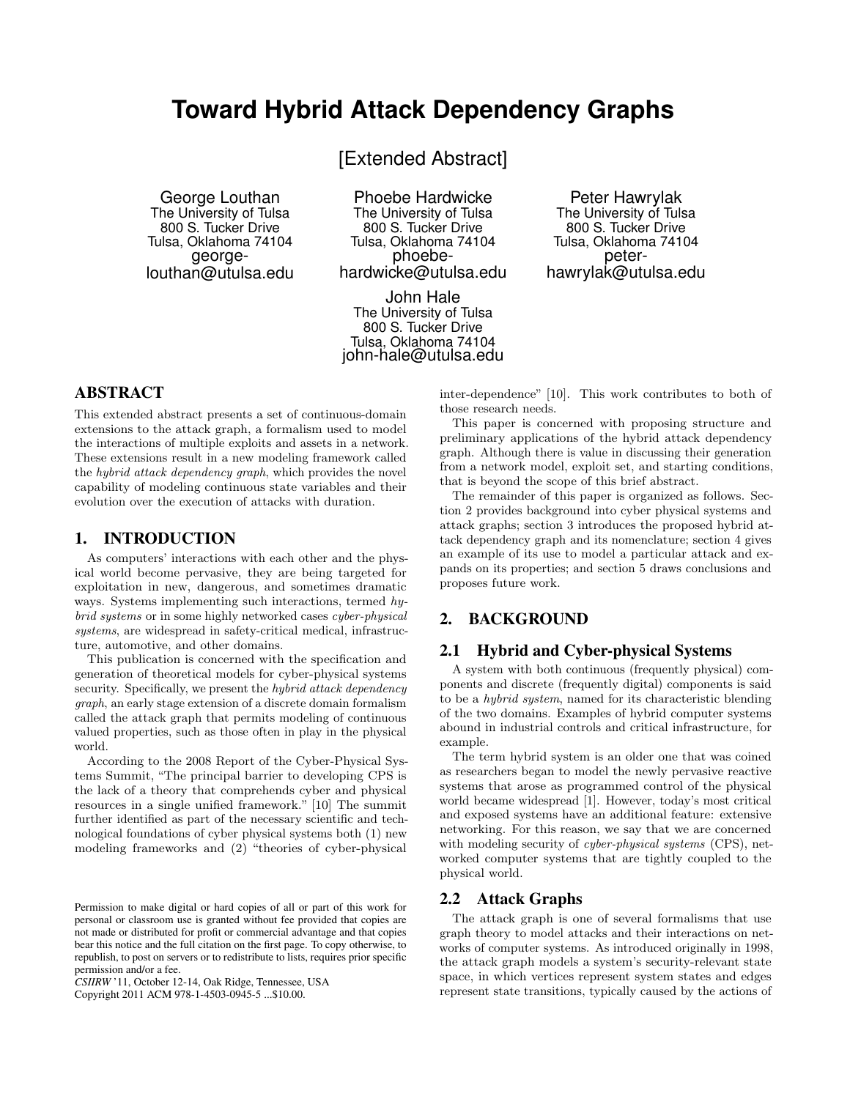# **Toward Hybrid Attack Dependency Graphs**

[Extended Abstract]

George Louthan The University of Tulsa 800 S. Tucker Drive Tulsa, Oklahoma 74104 georgelouthan@utulsa.edu

Phoebe Hardwicke The University of Tulsa 800 S. Tucker Drive Tulsa, Oklahoma 74104 phoebehardwicke@utulsa.edu

John Hale The University of Tulsa 800 S. Tucker Drive Tulsa, Oklahoma 74104 john-hale@utulsa.edu

### Peter Hawrylak The University of Tulsa 800 S. Tucker Drive Tulsa, Oklahoma 74104 peterhawrylak@utulsa.edu

## ABSTRACT

This extended abstract presents a set of continuous-domain extensions to the attack graph, a formalism used to model the interactions of multiple exploits and assets in a network. These extensions result in a new modeling framework called the hybrid attack dependency graph, which provides the novel capability of modeling continuous state variables and their evolution over the execution of attacks with duration.

### 1. INTRODUCTION

As computers' interactions with each other and the physical world become pervasive, they are being targeted for exploitation in new, dangerous, and sometimes dramatic ways. Systems implementing such interactions, termed hybrid systems or in some highly networked cases cyber-physical systems, are widespread in safety-critical medical, infrastructure, automotive, and other domains.

This publication is concerned with the specification and generation of theoretical models for cyber-physical systems security. Specifically, we present the *hybrid attack dependency* graph, an early stage extension of a discrete domain formalism called the attack graph that permits modeling of continuous valued properties, such as those often in play in the physical world.

According to the 2008 Report of the Cyber-Physical Systems Summit, "The principal barrier to developing CPS is the lack of a theory that comprehends cyber and physical resources in a single unified framework." [10] The summit further identified as part of the necessary scientific and technological foundations of cyber physical systems both (1) new modeling frameworks and (2) "theories of cyber-physical

*CSIIRW* '11, October 12-14, Oak Ridge, Tennessee, USA

Copyright 2011 ACM 978-1-4503-0945-5 ...\$10.00.

inter-dependence" [10]. This work contributes to both of those research needs.

This paper is concerned with proposing structure and preliminary applications of the hybrid attack dependency graph. Although there is value in discussing their generation from a network model, exploit set, and starting conditions, that is beyond the scope of this brief abstract.

The remainder of this paper is organized as follows. Section 2 provides background into cyber physical systems and attack graphs; section 3 introduces the proposed hybrid attack dependency graph and its nomenclature; section 4 gives an example of its use to model a particular attack and expands on its properties; and section 5 draws conclusions and proposes future work.

# 2. BACKGROUND

### 2.1 Hybrid and Cyber-physical Systems

A system with both continuous (frequently physical) components and discrete (frequently digital) components is said to be a hybrid system, named for its characteristic blending of the two domains. Examples of hybrid computer systems abound in industrial controls and critical infrastructure, for example.

The term hybrid system is an older one that was coined as researchers began to model the newly pervasive reactive systems that arose as programmed control of the physical world became widespread [1]. However, today's most critical and exposed systems have an additional feature: extensive networking. For this reason, we say that we are concerned with modeling security of *cyber-physical systems* (CPS), networked computer systems that are tightly coupled to the physical world.

### 2.2 Attack Graphs

The attack graph is one of several formalisms that use graph theory to model attacks and their interactions on networks of computer systems. As introduced originally in 1998, the attack graph models a system's security-relevant state space, in which vertices represent system states and edges represent state transitions, typically caused by the actions of

Permission to make digital or hard copies of all or part of this work for personal or classroom use is granted without fee provided that copies are not made or distributed for profit or commercial advantage and that copies bear this notice and the full citation on the first page. To copy otherwise, to republish, to post on servers or to redistribute to lists, requires prior specific permission and/or a fee.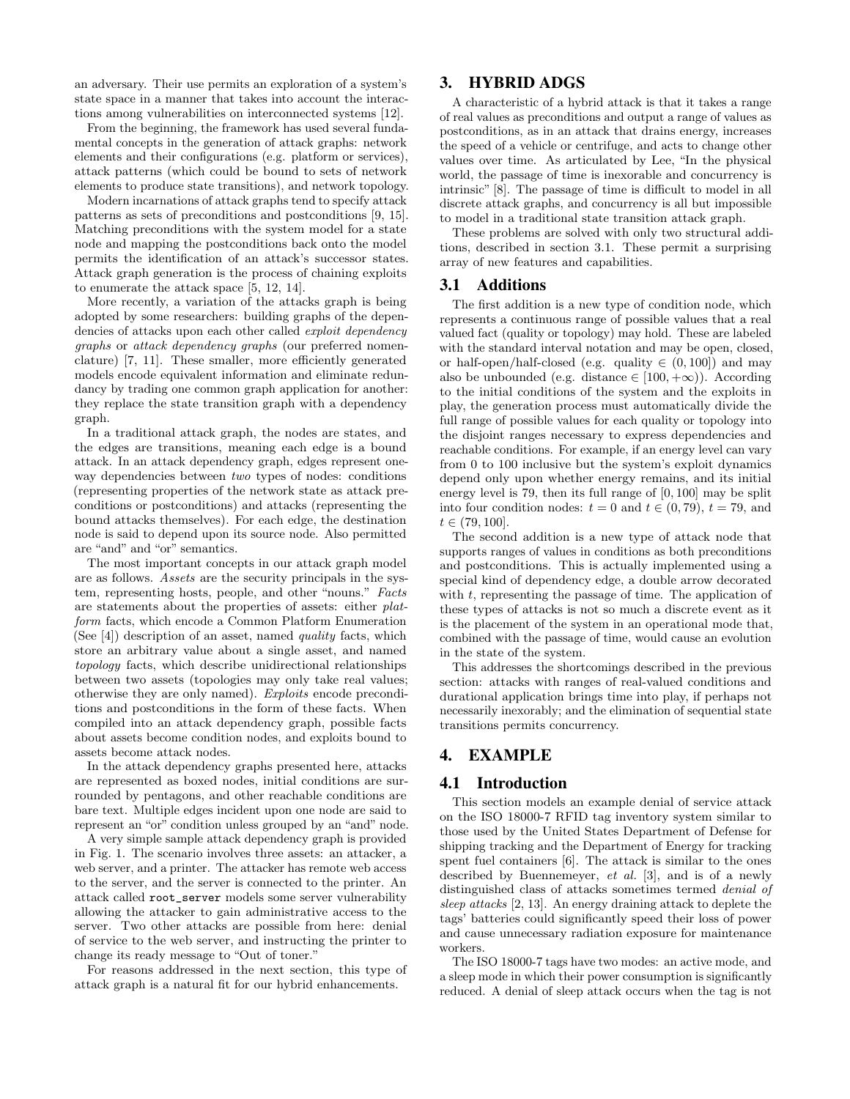an adversary. Their use permits an exploration of a system's state space in a manner that takes into account the interactions among vulnerabilities on interconnected systems [12].

From the beginning, the framework has used several fundamental concepts in the generation of attack graphs: network elements and their configurations (e.g. platform or services), attack patterns (which could be bound to sets of network elements to produce state transitions), and network topology.

Modern incarnations of attack graphs tend to specify attack patterns as sets of preconditions and postconditions [9, 15]. Matching preconditions with the system model for a state node and mapping the postconditions back onto the model permits the identification of an attack's successor states. Attack graph generation is the process of chaining exploits to enumerate the attack space [5, 12, 14].

More recently, a variation of the attacks graph is being adopted by some researchers: building graphs of the dependencies of attacks upon each other called exploit dependency graphs or attack dependency graphs (our preferred nomenclature) [7, 11]. These smaller, more efficiently generated models encode equivalent information and eliminate redundancy by trading one common graph application for another: they replace the state transition graph with a dependency graph.

In a traditional attack graph, the nodes are states, and the edges are transitions, meaning each edge is a bound attack. In an attack dependency graph, edges represent oneway dependencies between *two* types of nodes: conditions (representing properties of the network state as attack preconditions or postconditions) and attacks (representing the bound attacks themselves). For each edge, the destination node is said to depend upon its source node. Also permitted are "and" and "or" semantics.

The most important concepts in our attack graph model are as follows. Assets are the security principals in the system, representing hosts, people, and other "nouns." Facts are statements about the properties of assets: either platform facts, which encode a Common Platform Enumeration (See [4]) description of an asset, named quality facts, which store an arbitrary value about a single asset, and named topology facts, which describe unidirectional relationships between two assets (topologies may only take real values; otherwise they are only named). Exploits encode preconditions and postconditions in the form of these facts. When compiled into an attack dependency graph, possible facts about assets become condition nodes, and exploits bound to assets become attack nodes.

In the attack dependency graphs presented here, attacks are represented as boxed nodes, initial conditions are surrounded by pentagons, and other reachable conditions are bare text. Multiple edges incident upon one node are said to represent an "or" condition unless grouped by an "and" node.

A very simple sample attack dependency graph is provided in Fig. 1. The scenario involves three assets: an attacker, a web server, and a printer. The attacker has remote web access to the server, and the server is connected to the printer. An attack called root\_server models some server vulnerability allowing the attacker to gain administrative access to the server. Two other attacks are possible from here: denial of service to the web server, and instructing the printer to change its ready message to "Out of toner."

For reasons addressed in the next section, this type of attack graph is a natural fit for our hybrid enhancements.

### 3. HYBRID ADGS

A characteristic of a hybrid attack is that it takes a range of real values as preconditions and output a range of values as postconditions, as in an attack that drains energy, increases the speed of a vehicle or centrifuge, and acts to change other values over time. As articulated by Lee, "In the physical world, the passage of time is inexorable and concurrency is intrinsic" [8]. The passage of time is difficult to model in all discrete attack graphs, and concurrency is all but impossible to model in a traditional state transition attack graph.

These problems are solved with only two structural additions, described in section 3.1. These permit a surprising array of new features and capabilities.

### 3.1 Additions

The first addition is a new type of condition node, which represents a continuous range of possible values that a real valued fact (quality or topology) may hold. These are labeled with the standard interval notation and may be open, closed, or half-open/half-closed (e.g. quality  $\in (0, 100]$ ) and may also be unbounded (e.g. distance  $\in [100, +\infty)$ ). According to the initial conditions of the system and the exploits in play, the generation process must automatically divide the full range of possible values for each quality or topology into the disjoint ranges necessary to express dependencies and reachable conditions. For example, if an energy level can vary from 0 to 100 inclusive but the system's exploit dynamics depend only upon whether energy remains, and its initial energy level is 79, then its full range of [0, 100] may be split into four condition nodes:  $t = 0$  and  $t \in (0, 79)$ ,  $t = 79$ , and  $t \in (79, 100].$ 

The second addition is a new type of attack node that supports ranges of values in conditions as both preconditions and postconditions. This is actually implemented using a special kind of dependency edge, a double arrow decorated with  $t$ , representing the passage of time. The application of these types of attacks is not so much a discrete event as it is the placement of the system in an operational mode that, combined with the passage of time, would cause an evolution in the state of the system.

This addresses the shortcomings described in the previous section: attacks with ranges of real-valued conditions and durational application brings time into play, if perhaps not necessarily inexorably; and the elimination of sequential state transitions permits concurrency.

# 4. EXAMPLE

### 4.1 Introduction

This section models an example denial of service attack on the ISO 18000-7 RFID tag inventory system similar to those used by the United States Department of Defense for shipping tracking and the Department of Energy for tracking spent fuel containers [6]. The attack is similar to the ones described by Buennemeyer, et al. [3], and is of a newly distinguished class of attacks sometimes termed denial of sleep attacks [2, 13]. An energy draining attack to deplete the tags' batteries could significantly speed their loss of power and cause unnecessary radiation exposure for maintenance workers.

The ISO 18000-7 tags have two modes: an active mode, and a sleep mode in which their power consumption is significantly reduced. A denial of sleep attack occurs when the tag is not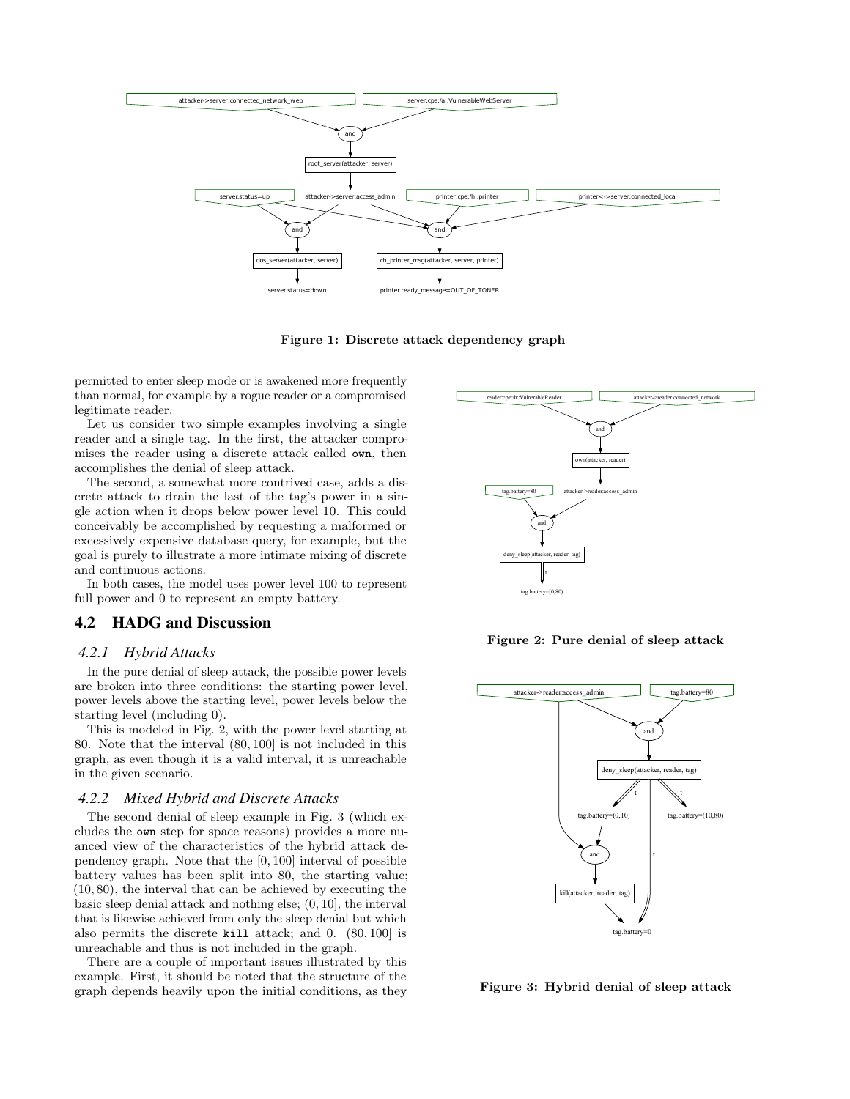

Figure 1: Discrete attack dependency graph

permitted to enter sleep mode or is awakened more frequently than normal, for example by a rogue reader or a compromised legitimate reader.

Let us consider two simple examples involving a single reader and a single tag. In the first, the attacker compromises the reader using a discrete attack called own, then accomplishes the denial of sleep attack.

The second, a somewhat more contrived case, adds a discrete attack to drain the last of the tag's power in a single action when it drops below power level 10. This could conceivably be accomplished by requesting a malformed or excessively expensive database query, for example, but the goal is purely to illustrate a more intimate mixing of discrete and continuous actions.

In both cases, the model uses power level 100 to represent full power and 0 to represent an empty battery.

### 4.2 HADG and Discussion

#### *4.2.1 Hybrid Attacks*

In the pure denial of sleep attack, the possible power levels are broken into three conditions: the starting power level, power levels above the starting level, power levels below the starting level (including 0).

This is modeled in Fig. 2, with the power level starting at 80. Note that the interval (80, 100] is not included in this graph, as even though it is a valid interval, it is unreachable in the given scenario.

#### *4.2.2 Mixed Hybrid and Discrete Attacks*

The second denial of sleep example in Fig. 3 (which excludes the own step for space reasons) provides a more nuanced view of the characteristics of the hybrid attack dependency graph. Note that the [0, 100] interval of possible battery values has been split into 80, the starting value; (10, 80), the interval that can be achieved by executing the basic sleep denial attack and nothing else; (0, 10], the interval that is likewise achieved from only the sleep denial but which also permits the discrete kill attack; and 0. (80, 100] is unreachable and thus is not included in the graph.

There are a couple of important issues illustrated by this example. First, it should be noted that the structure of the graph depends heavily upon the initial conditions, as they



Figure 2: Pure denial of sleep attack



Figure 3: Hybrid denial of sleep attack